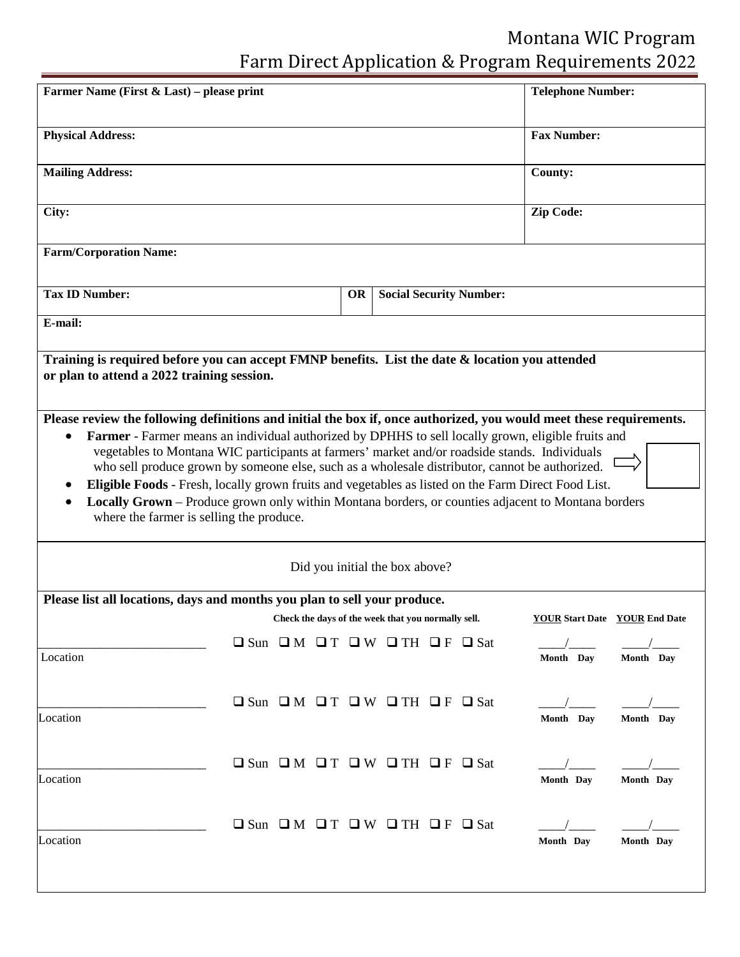## Montana WIC Program Farm Direct Application & Program Requirements 2022

| Farmer Name (First & Last) – please print                                                                                                                                                                                                                                                                                                                                                                                                                                                                                                                                   |                                                                     |           |                                |                                | <b>Telephone Number:</b> |                                      |
|-----------------------------------------------------------------------------------------------------------------------------------------------------------------------------------------------------------------------------------------------------------------------------------------------------------------------------------------------------------------------------------------------------------------------------------------------------------------------------------------------------------------------------------------------------------------------------|---------------------------------------------------------------------|-----------|--------------------------------|--------------------------------|--------------------------|--------------------------------------|
| <b>Physical Address:</b>                                                                                                                                                                                                                                                                                                                                                                                                                                                                                                                                                    |                                                                     |           |                                |                                | <b>Fax Number:</b>       |                                      |
| <b>Mailing Address:</b>                                                                                                                                                                                                                                                                                                                                                                                                                                                                                                                                                     |                                                                     |           |                                |                                | County:                  |                                      |
| City:                                                                                                                                                                                                                                                                                                                                                                                                                                                                                                                                                                       |                                                                     |           |                                |                                | <b>Zip Code:</b>         |                                      |
| <b>Farm/Corporation Name:</b>                                                                                                                                                                                                                                                                                                                                                                                                                                                                                                                                               |                                                                     |           |                                |                                |                          |                                      |
| <b>Tax ID Number:</b>                                                                                                                                                                                                                                                                                                                                                                                                                                                                                                                                                       |                                                                     | <b>OR</b> |                                | <b>Social Security Number:</b> |                          |                                      |
| E-mail:                                                                                                                                                                                                                                                                                                                                                                                                                                                                                                                                                                     |                                                                     |           |                                |                                |                          |                                      |
| or plan to attend a 2022 training session.<br>Please review the following definitions and initial the box if, once authorized, you would meet these requirements.                                                                                                                                                                                                                                                                                                                                                                                                           |                                                                     |           |                                |                                |                          |                                      |
|                                                                                                                                                                                                                                                                                                                                                                                                                                                                                                                                                                             |                                                                     |           |                                |                                |                          |                                      |
| Farmer - Farmer means an individual authorized by DPHHS to sell locally grown, eligible fruits and<br>vegetables to Montana WIC participants at farmers' market and/or roadside stands. Individuals<br>who sell produce grown by someone else, such as a wholesale distributor, cannot be authorized.<br>Eligible Foods - Fresh, locally grown fruits and vegetables as listed on the Farm Direct Food List.<br>$\bullet$<br>Locally Grown – Produce grown only within Montana borders, or counties adjacent to Montana borders<br>where the farmer is selling the produce. |                                                                     |           |                                |                                |                          |                                      |
|                                                                                                                                                                                                                                                                                                                                                                                                                                                                                                                                                                             |                                                                     |           | Did you initial the box above? |                                |                          |                                      |
| Please list all locations, days and months you plan to sell your produce.                                                                                                                                                                                                                                                                                                                                                                                                                                                                                                   |                                                                     |           |                                |                                |                          |                                      |
|                                                                                                                                                                                                                                                                                                                                                                                                                                                                                                                                                                             | Check the days of the week that you normally sell.                  |           |                                |                                |                          | <b>YOUR Start Date</b> YOUR End Date |
| Location                                                                                                                                                                                                                                                                                                                                                                                                                                                                                                                                                                    | $\Box$ Sun $\Box$ M $\Box$ T $\Box$ W $\Box$ TH $\Box$ F $\Box$ Sat |           |                                |                                | Month Day                | Month Day                            |
|                                                                                                                                                                                                                                                                                                                                                                                                                                                                                                                                                                             | $\Box$ Sun $\Box$ M $\Box$ T $\Box$ W $\Box$ TH $\Box$ F $\Box$ Sat |           |                                |                                | Month Day                | Month Day                            |
| Location<br>Location                                                                                                                                                                                                                                                                                                                                                                                                                                                                                                                                                        | $\Box$ Sun $\Box$ M $\Box$ T $\Box$ W $\Box$ TH $\Box$ F $\Box$ Sat |           |                                |                                | Month Day                | Month Day                            |